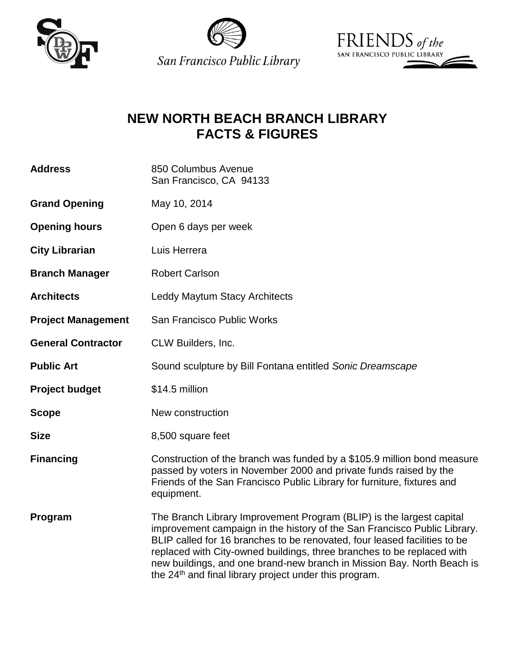





# **NEW NORTH BEACH BRANCH LIBRARY FACTS & FIGURES**

| <b>Address</b>            | 850 Columbus Avenue<br>San Francisco, CA 94133                                                                                                                                                                                                                                                                                                                                                                                                          |
|---------------------------|---------------------------------------------------------------------------------------------------------------------------------------------------------------------------------------------------------------------------------------------------------------------------------------------------------------------------------------------------------------------------------------------------------------------------------------------------------|
| <b>Grand Opening</b>      | May 10, 2014                                                                                                                                                                                                                                                                                                                                                                                                                                            |
| <b>Opening hours</b>      | Open 6 days per week                                                                                                                                                                                                                                                                                                                                                                                                                                    |
| <b>City Librarian</b>     | Luis Herrera                                                                                                                                                                                                                                                                                                                                                                                                                                            |
| <b>Branch Manager</b>     | <b>Robert Carlson</b>                                                                                                                                                                                                                                                                                                                                                                                                                                   |
| <b>Architects</b>         | <b>Leddy Maytum Stacy Architects</b>                                                                                                                                                                                                                                                                                                                                                                                                                    |
| <b>Project Management</b> | San Francisco Public Works                                                                                                                                                                                                                                                                                                                                                                                                                              |
| <b>General Contractor</b> | CLW Builders, Inc.                                                                                                                                                                                                                                                                                                                                                                                                                                      |
| <b>Public Art</b>         | Sound sculpture by Bill Fontana entitled Sonic Dreamscape                                                                                                                                                                                                                                                                                                                                                                                               |
| <b>Project budget</b>     | \$14.5 million                                                                                                                                                                                                                                                                                                                                                                                                                                          |
| <b>Scope</b>              | New construction                                                                                                                                                                                                                                                                                                                                                                                                                                        |
| <b>Size</b>               | 8,500 square feet                                                                                                                                                                                                                                                                                                                                                                                                                                       |
| <b>Financing</b>          | Construction of the branch was funded by a \$105.9 million bond measure<br>passed by voters in November 2000 and private funds raised by the<br>Friends of the San Francisco Public Library for furniture, fixtures and<br>equipment.                                                                                                                                                                                                                   |
| Program                   | The Branch Library Improvement Program (BLIP) is the largest capital<br>improvement campaign in the history of the San Francisco Public Library.<br>BLIP called for 16 branches to be renovated, four leased facilities to be<br>replaced with City-owned buildings, three branches to be replaced with<br>new buildings, and one brand-new branch in Mission Bay. North Beach is<br>the 24 <sup>th</sup> and final library project under this program. |